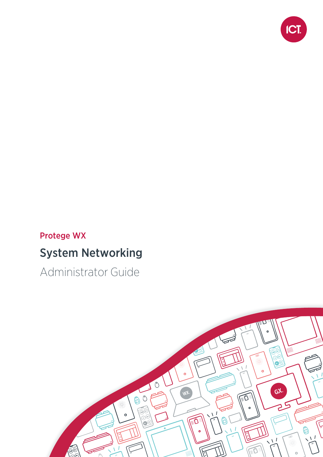

### Protege WX

## System Networking

Administrator Guide

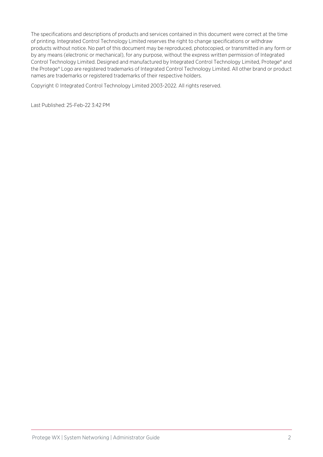The specifications and descriptions of products and services contained in this document were correct at the time of printing. Integrated Control Technology Limited reserves the right to change specifications or withdraw products without notice. No part of this document may be reproduced, photocopied, or transmitted in any form or by any means (electronic or mechanical), for any purpose, without the express written permission of Integrated Control Technology Limited. Designed and manufactured by Integrated Control Technology Limited, Protege® and the Protege® Logo are registered trademarks of Integrated Control Technology Limited. All other brand or product names are trademarks or registered trademarks of their respective holders.

Copyright © Integrated Control Technology Limited 2003-2022. All rights reserved.

Last Published: 25-Feb-22 3:42 PM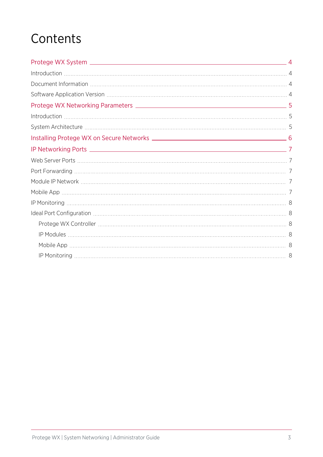# **Contents**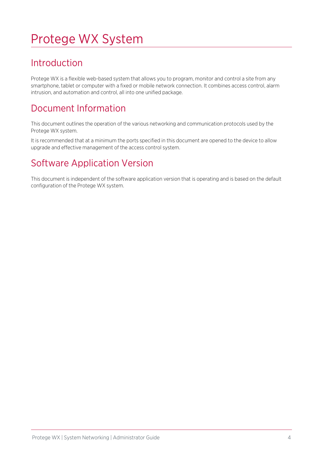# <span id="page-3-0"></span>Protege WX System

### <span id="page-3-1"></span>Introduction

Protege WX is a flexible web-based system that allows you to program, monitor and control a site from any smartphone, tablet or computer with a fixed or mobile network connection. It combines access control, alarm intrusion, and automation and control, all into one unified package.

### <span id="page-3-2"></span>Document Information

This document outlines the operation of the various networking and communication protocols used by the Protege WX system.

<span id="page-3-3"></span>It is recommended that at a minimum the ports specified in this document are opened to the device to allow upgrade and effective management of the access control system.

### Software Application Version

This document is independent of the software application version that is operating and is based on the default configuration of the Protege WX system.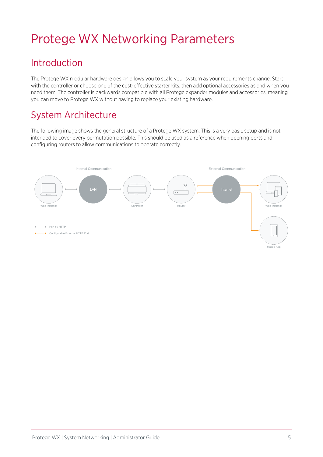# <span id="page-4-0"></span>Protege WX Networking Parameters

### <span id="page-4-1"></span>Introduction

The Protege WX modular hardware design allows you to scale your system as your requirements change. Start with the controller or choose one of the cost-effective starter kits, then add optional accessories as and when you need them. The controller is backwards compatible with all Protege expander modules and accessories, meaning you can move to Protege WX without having to replace your existing hardware.

## <span id="page-4-2"></span>System Architecture

The following image shows the general structure of a Protege WX system. This is a very basic setup and is not intended to cover every permutation possible. This should be used as a reference when opening ports and configuring routers to allow communications to operate correctly.

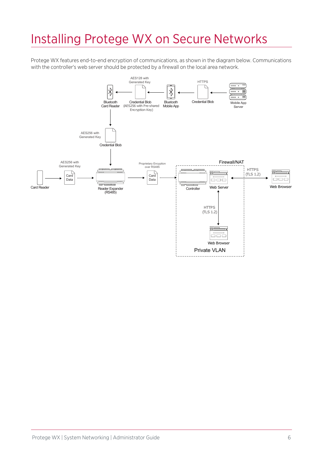## <span id="page-5-0"></span>Installing Protege WX on Secure Networks

Protege WX features end-to-end encryption of communications, as shown in the diagram below. Communications with the controller's web server should be protected by a firewall on the local area network.

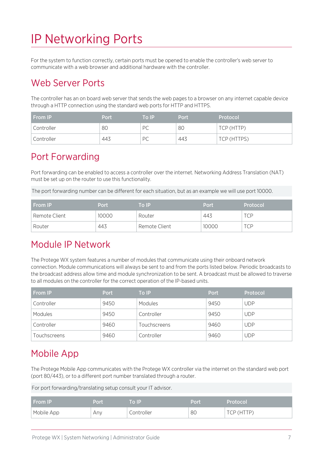# <span id="page-6-0"></span>IP Networking Ports

<span id="page-6-1"></span>For the system to function correctly, certain ports must be opened to enable the controller's web server to communicate with a web browser and additional hardware with the controller.

#### Web Server Ports

The controller has an on board web server that sends the web pages to a browser on any internet capable device through a HTTP connection using the standard web ports for HTTP and HTTPS.

| <b>From IP</b>          | Port | \To IP' | <b>Port</b> | Protocol    |
|-------------------------|------|---------|-------------|-------------|
| <sup>'</sup> Controller | 80   | PC      | 80          | TCP (HTTP)  |
| Controller              | 443  | PC      | 443         | TCP (HTTPS) |

#### <span id="page-6-2"></span>Port Forwarding

Port forwarding can be enabled to access a controller over the internet. Networking Address Translation (NAT) must be set up on the router to use this functionality.

The port forwarding number can be different for each situation, but as an example we will use port 10000.

| <b>From IP</b> | Port  | To IP         | Port  | Protocol |
|----------------|-------|---------------|-------|----------|
| Remote Client  | 10000 | Router        | 443   | TCP      |
| Router         | 443   | Remote Client | 10000 | TCP      |

#### <span id="page-6-3"></span>Module IP Network

The Protege WX system features a number of modules that communicate using their onboard network connection. Module communications will always be sent to and from the ports listed below. Periodic broadcasts to the broadcast address allow time and module synchronization to be sent. A broadcast must be allowed to traverse to all modules on the controller for the correct operation of the IP-based units.

| From IP      | <b>Port</b> | To IP        | <b>Port</b> | Protocol   |
|--------------|-------------|--------------|-------------|------------|
| Controller   | 9450        | Modules      | 9450        | <b>UDP</b> |
| Modules      | 9450        | Controller   | 9450        | <b>UDP</b> |
| Controller   | 9460        | Touchscreens | 9460        | <b>UDP</b> |
| Touchscreens | 9460        | Controller   | 9460        | <b>UDP</b> |

### <span id="page-6-4"></span>Mobile App

The Protege Mobile App communicates with the Protege WX controller via the internet on the standard web port (port 80/443), or to a different port number translated through a router.

For port forwarding/translating setup consult your IT advisor.

| <b>From IP</b> | Port | To IP      | Port | Protocol      |
|----------------|------|------------|------|---------------|
| Mobile App     | Any  | Controller | 80   | (HTTP)<br>CP. |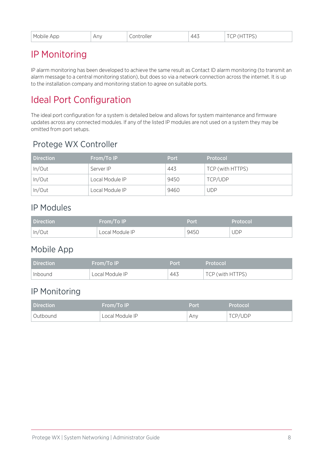<span id="page-7-0"></span>

| . Mobile<br>App | Anv | roller<br>$\sim$ $\sim$ $\sim$ $\sim$ $\sim$ $\sim$ | 44<br>. . | $\overline{\phantom{a}}$<br>້<br>$\check{ }$<br>$\sim$<br>$\sim$ |
|-----------------|-----|-----------------------------------------------------|-----------|------------------------------------------------------------------|
|-----------------|-----|-----------------------------------------------------|-----------|------------------------------------------------------------------|

#### IP Monitoring

IP alarm monitoring has been developed to achieve the same result as Contact ID alarm monitoring (to transmit an alarm message to a central monitoring station), but does so via a network connection across the internet. It is up to the installation company and monitoring station to agree on suitable ports.

## <span id="page-7-1"></span>Ideal Port Configuration

The ideal port configuration for a system is detailed below and allows for system maintenance and firmware updates across any connected modules. If any of the listed IP modules are not used on a system they may be omitted from port setups.

#### <span id="page-7-2"></span>Protege WX Controller

| <b>Direction</b> | From/To IP      | Port | Protocol         |
|------------------|-----------------|------|------------------|
| In/Out           | Server IP       | 443  | TCP (with HTTPS) |
| In/Out           | Local Module IP | 9450 | TCP/UDP          |
| In/Out           | Local Module IP | 9460 | UDP              |

#### <span id="page-7-3"></span>IP Modules

| Direction | <b>From/To IP</b> | Port | Protocol   |
|-----------|-------------------|------|------------|
| In/Out    | Local Module IP   | 9450 | <b>UDP</b> |

#### <span id="page-7-4"></span>Mobile App

| Direction | <b>From/To IP</b> | Port | Protocol'        |
|-----------|-------------------|------|------------------|
| Inbound   | Local Module IP   | 443  | TCP (with HTTPS) |

#### <span id="page-7-5"></span>IP Monitoring

| Direction  | From/To IP      | Port | Protocol |
|------------|-----------------|------|----------|
| † Outbound | Local Module IP | Any  | TCP/UDP  |